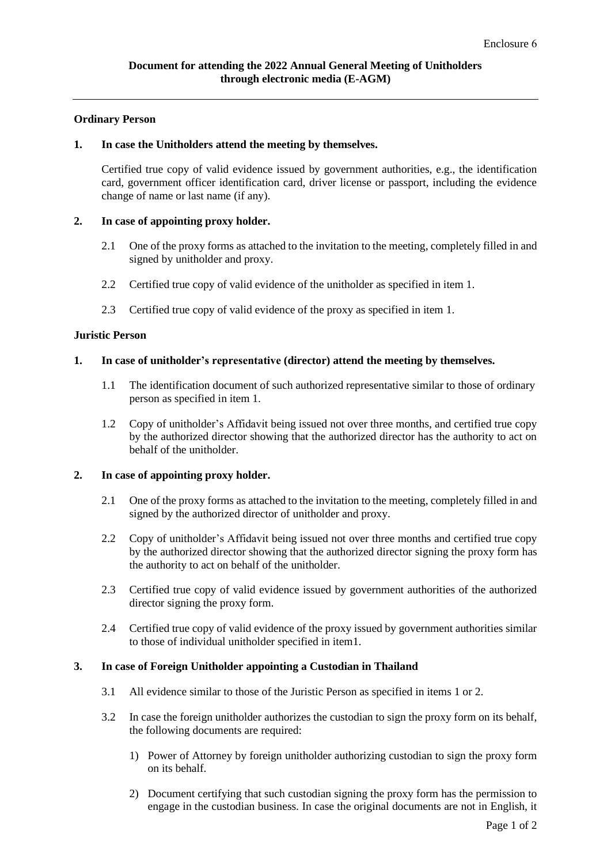# **Ordinary Person**

## **1. In case the Unitholders attend the meeting by themselves.**

Certified true copy of valid evidence issued by government authorities, e.g., the identification card, government officer identification card, driver license or passport, including the evidence change of name or last name (if any).

## **2. In case of appointing proxy holder.**

- 2.1 One of the proxy forms as attached to the invitation to the meeting, completely filled in and signed by unitholder and proxy.
- 2.2 Certified true copy of valid evidence of the unitholder as specified in item 1.
- 2.3 Certified true copy of valid evidence of the proxy as specified in item 1.

## **Juristic Person**

## **1. In case of unitholder's representative (director) attend the meeting by themselves.**

- 1.1 The identification document of such authorized representative similar to those of ordinary person as specified in item 1.
- 1.2 Copy of unitholder's Affidavit being issued not over three months, and certified true copy by the authorized director showing that the authorized director has the authority to act on behalf of the unitholder.

# **2. In case of appointing proxy holder.**

- 2.1 One of the proxy forms as attached to the invitation to the meeting, completely filled in and signed by the authorized director of unitholder and proxy.
- 2.2 Copy of unitholder's Affidavit being issued not over three months and certified true copy by the authorized director showing that the authorized director signing the proxy form has the authority to act on behalf of the unitholder.
- 2.3 Certified true copy of valid evidence issued by government authorities of the authorized director signing the proxy form.
- 2.4 Certified true copy of valid evidence of the proxy issued by government authorities similar to those of individual unitholder specified in item1.

#### **3. In case of Foreign Unitholder appointing a Custodian in Thailand**

- 3.1 All evidence similar to those of the Juristic Person as specified in items 1 or 2.
- 3.2 In case the foreign unitholder authorizes the custodian to sign the proxy form on its behalf, the following documents are required:
	- 1) Power of Attorney by foreign unitholder authorizing custodian to sign the proxy form on its behalf.
	- 2) Document certifying that such custodian signing the proxy form has the permission to engage in the custodian business. In case the original documents are not in English, it